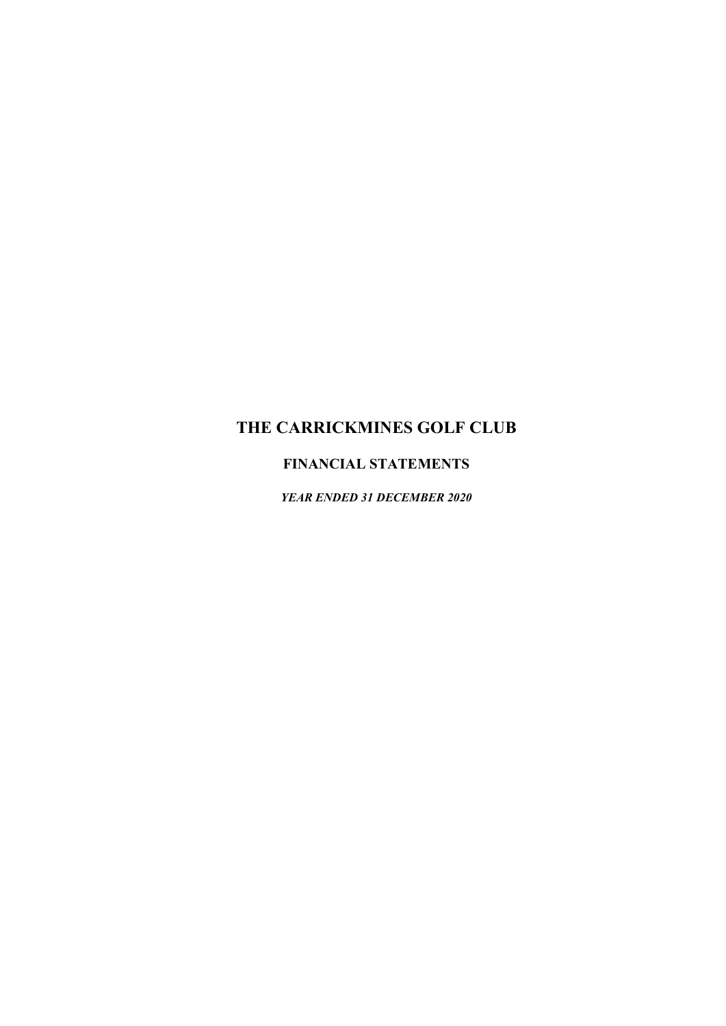# FINANCIAL STATEMENTS

YEAR ENDED 31 DECEMBER 2020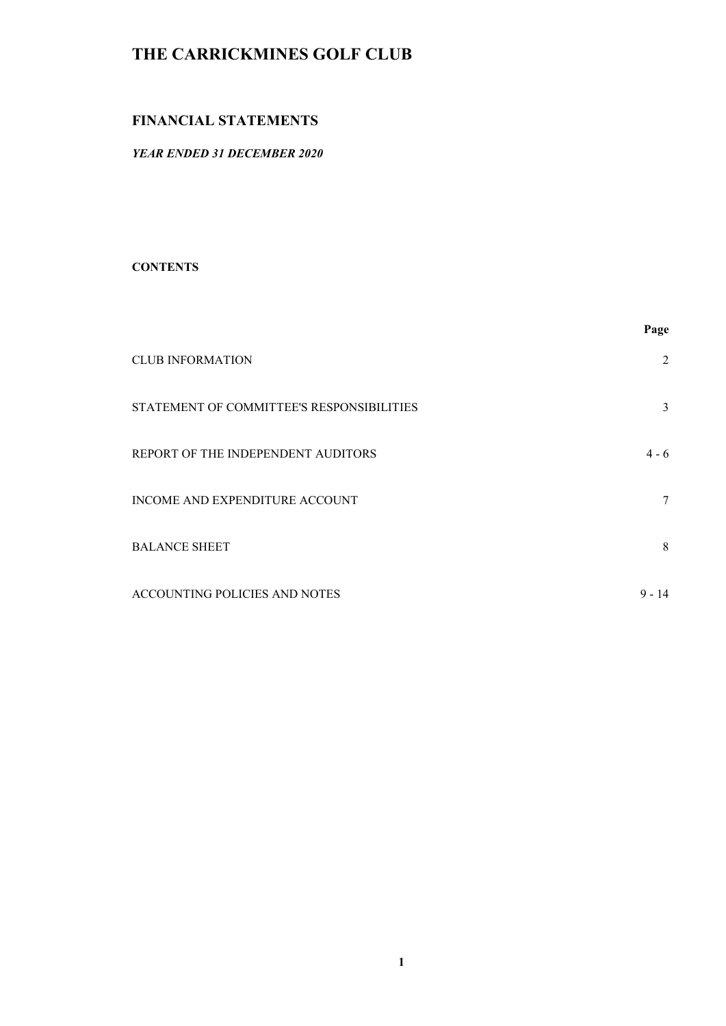## FINANCIAL STATEMENTS

## YEAR ENDED 31 DECEMBER 2020

#### **CONTENTS**

|                                           | Page          |
|-------------------------------------------|---------------|
| <b>CLUB INFORMATION</b>                   | $\mathcal{L}$ |
| STATEMENT OF COMMITTEE'S RESPONSIBILITIES | 3             |
| REPORT OF THE INDEPENDENT AUDITORS        | $4 - 6$       |
| INCOME AND EXPENDITURE ACCOUNT            |               |
| <b>BALANCE SHEET</b>                      | 8             |
| ACCOUNTING POLICIES AND NOTES             | $9 - 14$      |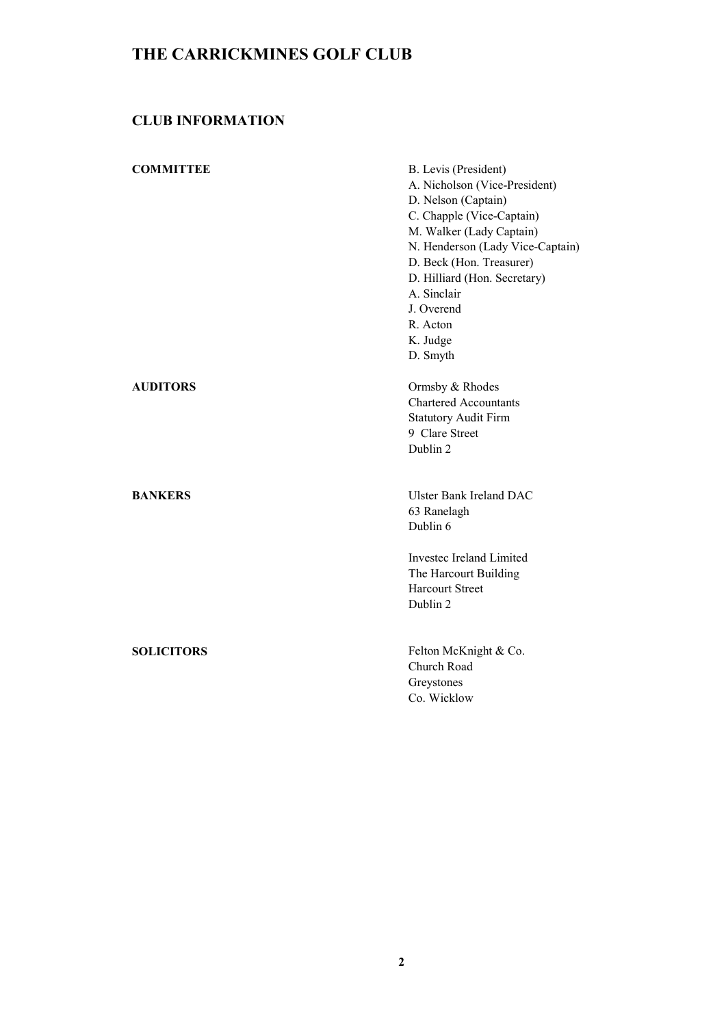# CLUB INFORMATION

| <b>COMMITTEE</b>  | B. Levis (President)<br>A. Nicholson (Vice-President)<br>D. Nelson (Captain)<br>C. Chapple (Vice-Captain)<br>M. Walker (Lady Captain)<br>N. Henderson (Lady Vice-Captain)<br>D. Beck (Hon. Treasurer)<br>D. Hilliard (Hon. Secretary)<br>A. Sinclair<br>J. Overend<br>R. Acton<br>K. Judge<br>D. Smyth |
|-------------------|--------------------------------------------------------------------------------------------------------------------------------------------------------------------------------------------------------------------------------------------------------------------------------------------------------|
| <b>AUDITORS</b>   | Ormsby & Rhodes<br><b>Chartered Accountants</b><br><b>Statutory Audit Firm</b><br>9 Clare Street<br>Dublin 2                                                                                                                                                                                           |
| <b>BANKERS</b>    | <b>Ulster Bank Ireland DAC</b><br>63 Ranelagh<br>Dublin 6<br>Investec Ireland Limited<br>The Harcourt Building<br><b>Harcourt Street</b><br>Dublin 2                                                                                                                                                   |
| <b>SOLICITORS</b> | Felton McKnight & Co.<br>Church Road<br>Greystones<br>Co. Wicklow                                                                                                                                                                                                                                      |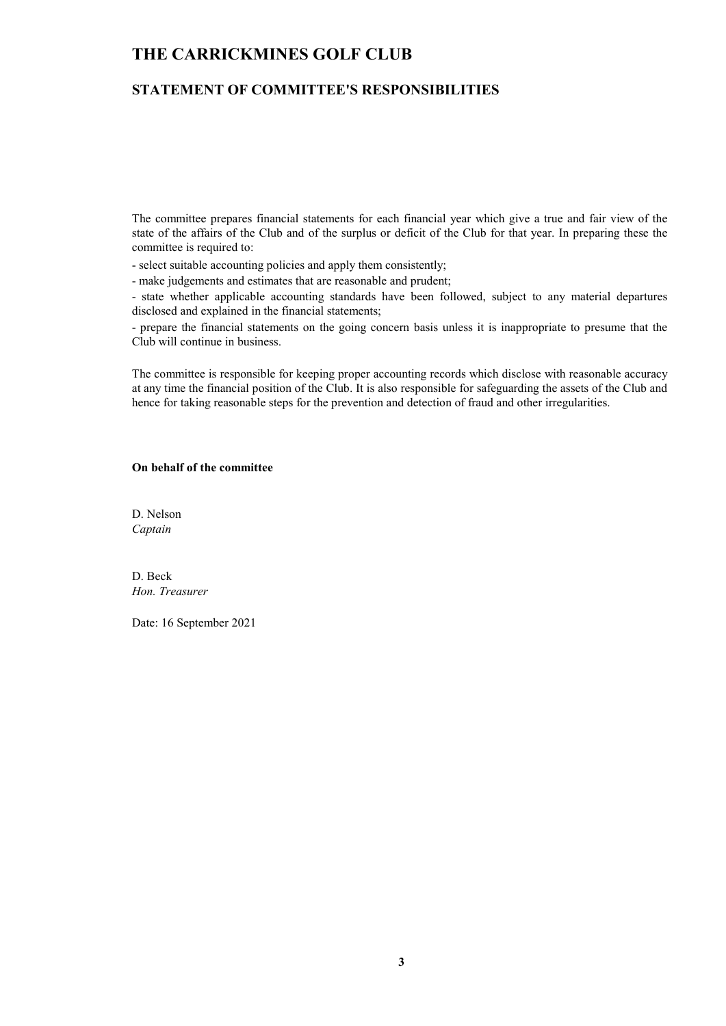### STATEMENT OF COMMITTEE'S RESPONSIBILITIES

The committee prepares financial statements for each financial year which give a true and fair view of the state of the affairs of the Club and of the surplus or deficit of the Club for that year. In preparing these the committee is required to:

- select suitable accounting policies and apply them consistently;

- make judgements and estimates that are reasonable and prudent;

- state whether applicable accounting standards have been followed, subject to any material departures disclosed and explained in the financial statements;

- prepare the financial statements on the going concern basis unless it is inappropriate to presume that the Club will continue in business.

The committee is responsible for keeping proper accounting records which disclose with reasonable accuracy at any time the financial position of the Club. It is also responsible for safeguarding the assets of the Club and hence for taking reasonable steps for the prevention and detection of fraud and other irregularities.

#### On behalf of the committee

D. Nelson Captain

D. Beck Hon. Treasurer

Date: 16 September 2021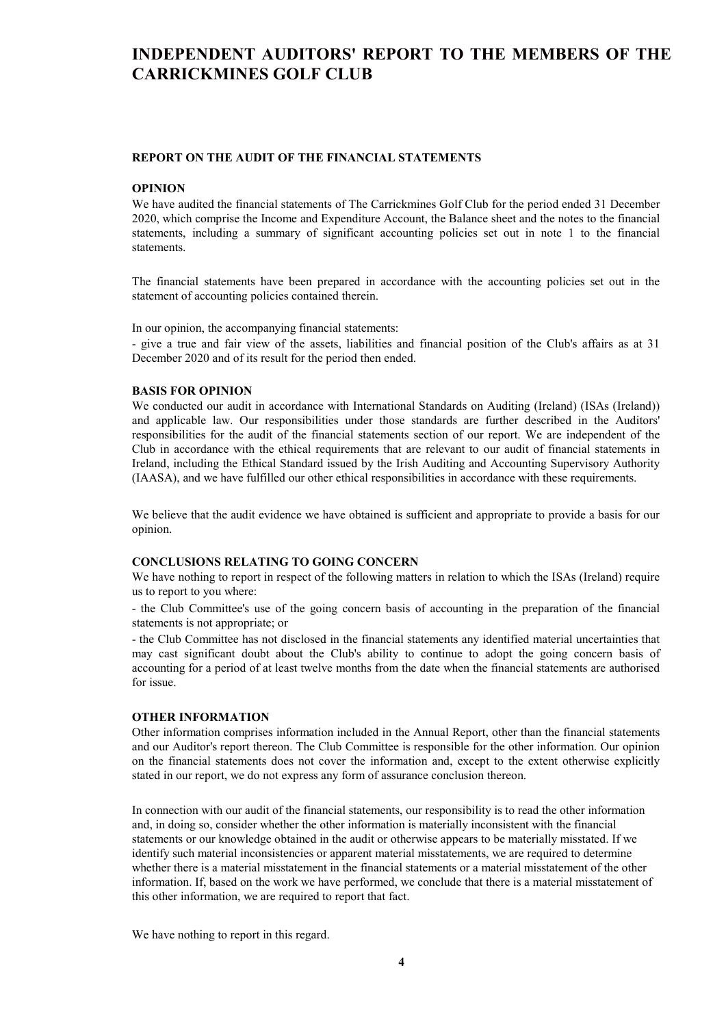# INDEPENDENT AUDITORS' REPORT TO THE MEMBERS OF THE CARRICKMINES GOLF CLUB

#### REPORT ON THE AUDIT OF THE FINANCIAL STATEMENTS

#### OPINION

We have audited the financial statements of The Carrickmines Golf Club for the period ended 31 December 2020, which comprise the Income and Expenditure Account, the Balance sheet and the notes to the financial statements, including a summary of significant accounting policies set out in note 1 to the financial statements.

The financial statements have been prepared in accordance with the accounting policies set out in the statement of accounting policies contained therein.

In our opinion, the accompanying financial statements:

- give a true and fair view of the assets, liabilities and financial position of the Club's affairs as at 31 December 2020 and of its result for the period then ended.

#### BASIS FOR OPINION

We conducted our audit in accordance with International Standards on Auditing (Ireland) (ISAs (Ireland)) and applicable law. Our responsibilities under those standards are further described in the Auditors' responsibilities for the audit of the financial statements section of our report. We are independent of the Club in accordance with the ethical requirements that are relevant to our audit of financial statements in Ireland, including the Ethical Standard issued by the Irish Auditing and Accounting Supervisory Authority (IAASA), and we have fulfilled our other ethical responsibilities in accordance with these requirements.

We believe that the audit evidence we have obtained is sufficient and appropriate to provide a basis for our opinion.

#### CONCLUSIONS RELATING TO GOING CONCERN

We have nothing to report in respect of the following matters in relation to which the ISAs (Ireland) require us to report to you where:

- the Club Committee's use of the going concern basis of accounting in the preparation of the financial statements is not appropriate; or

- the Club Committee has not disclosed in the financial statements any identified material uncertainties that may cast significant doubt about the Club's ability to continue to adopt the going concern basis of accounting for a period of at least twelve months from the date when the financial statements are authorised for issue.

#### OTHER INFORMATION

Other information comprises information included in the Annual Report, other than the financial statements and our Auditor's report thereon. The Club Committee is responsible for the other information. Our opinion on the financial statements does not cover the information and, except to the extent otherwise explicitly stated in our report, we do not express any form of assurance conclusion thereon.

In connection with our audit of the financial statements, our responsibility is to read the other information and, in doing so, consider whether the other information is materially inconsistent with the financial statements or our knowledge obtained in the audit or otherwise appears to be materially misstated. If we identify such material inconsistencies or apparent material misstatements, we are required to determine whether there is a material misstatement in the financial statements or a material misstatement of the other information. If, based on the work we have performed, we conclude that there is a material misstatement of this other information, we are required to report that fact.

We have nothing to report in this regard.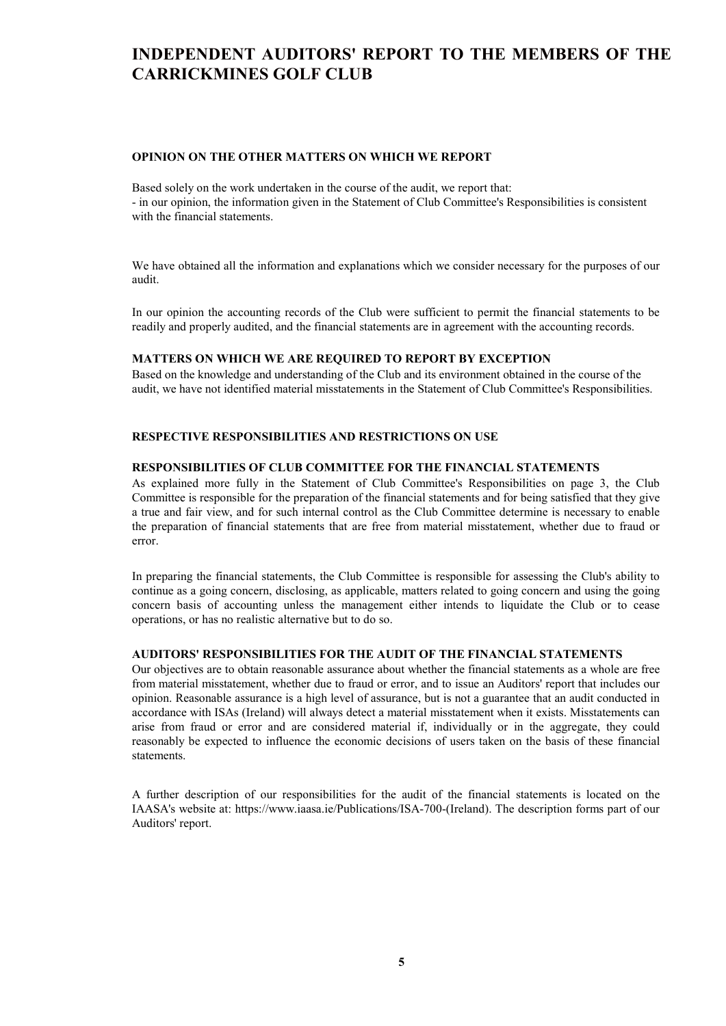# INDEPENDENT AUDITORS' REPORT TO THE MEMBERS OF THE CARRICKMINES GOLF CLUB

#### OPINION ON THE OTHER MATTERS ON WHICH WE REPORT

Based solely on the work undertaken in the course of the audit, we report that: - in our opinion, the information given in the Statement of Club Committee's Responsibilities is consistent with the financial statements.

We have obtained all the information and explanations which we consider necessary for the purposes of our audit.

In our opinion the accounting records of the Club were sufficient to permit the financial statements to be readily and properly audited, and the financial statements are in agreement with the accounting records.

#### MATTERS ON WHICH WE ARE REQUIRED TO REPORT BY EXCEPTION

Based on the knowledge and understanding of the Club and its environment obtained in the course of the audit, we have not identified material misstatements in the Statement of Club Committee's Responsibilities.

#### RESPECTIVE RESPONSIBILITIES AND RESTRICTIONS ON USE

#### RESPONSIBILITIES OF CLUB COMMITTEE FOR THE FINANCIAL STATEMENTS

As explained more fully in the Statement of Club Committee's Responsibilities on page 3, the Club Committee is responsible for the preparation of the financial statements and for being satisfied that they give a true and fair view, and for such internal control as the Club Committee determine is necessary to enable the preparation of financial statements that are free from material misstatement, whether due to fraud or error.

In preparing the financial statements, the Club Committee is responsible for assessing the Club's ability to continue as a going concern, disclosing, as applicable, matters related to going concern and using the going concern basis of accounting unless the management either intends to liquidate the Club or to cease operations, or has no realistic alternative but to do so.

#### AUDITORS' RESPONSIBILITIES FOR THE AUDIT OF THE FINANCIAL STATEMENTS

Our objectives are to obtain reasonable assurance about whether the financial statements as a whole are free from material misstatement, whether due to fraud or error, and to issue an Auditors' report that includes our opinion. Reasonable assurance is a high level of assurance, but is not a guarantee that an audit conducted in accordance with ISAs (Ireland) will always detect a material misstatement when it exists. Misstatements can arise from fraud or error and are considered material if, individually or in the aggregate, they could reasonably be expected to influence the economic decisions of users taken on the basis of these financial statements.

A further description of our responsibilities for the audit of the financial statements is located on the IAASA's website at: https://www.iaasa.ie/Publications/ISA-700-(Ireland). The description forms part of our Auditors' report.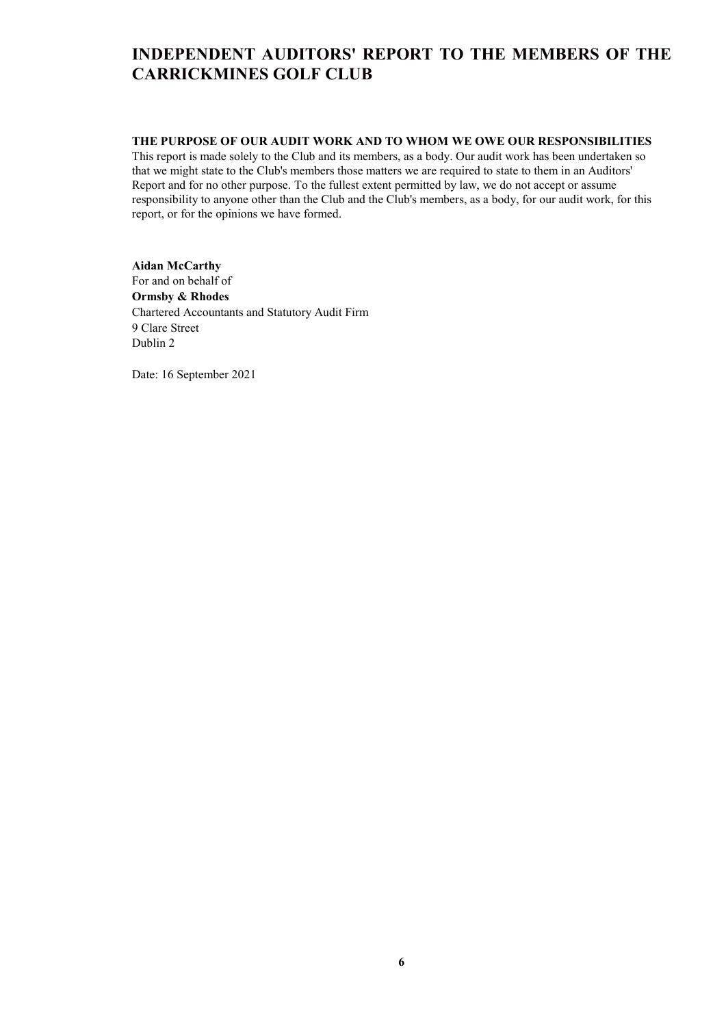# INDEPENDENT AUDITORS' REPORT TO THE MEMBERS OF THE CARRICKMINES GOLF CLUB

### THE PURPOSE OF OUR AUDIT WORK AND TO WHOM WE OWE OUR RESPONSIBILITIES

This report is made solely to the Club and its members, as a body. Our audit work has been undertaken so that we might state to the Club's members those matters we are required to state to them in an Auditors' Report and for no other purpose. To the fullest extent permitted by law, we do not accept or assume responsibility to anyone other than the Club and the Club's members, as a body, for our audit work, for this report, or for the opinions we have formed.

## Aidan McCarthy For and on behalf of

Ormsby & Rhodes Chartered Accountants and Statutory Audit Firm 9 Clare Street Dublin 2

Date: 16 September 2021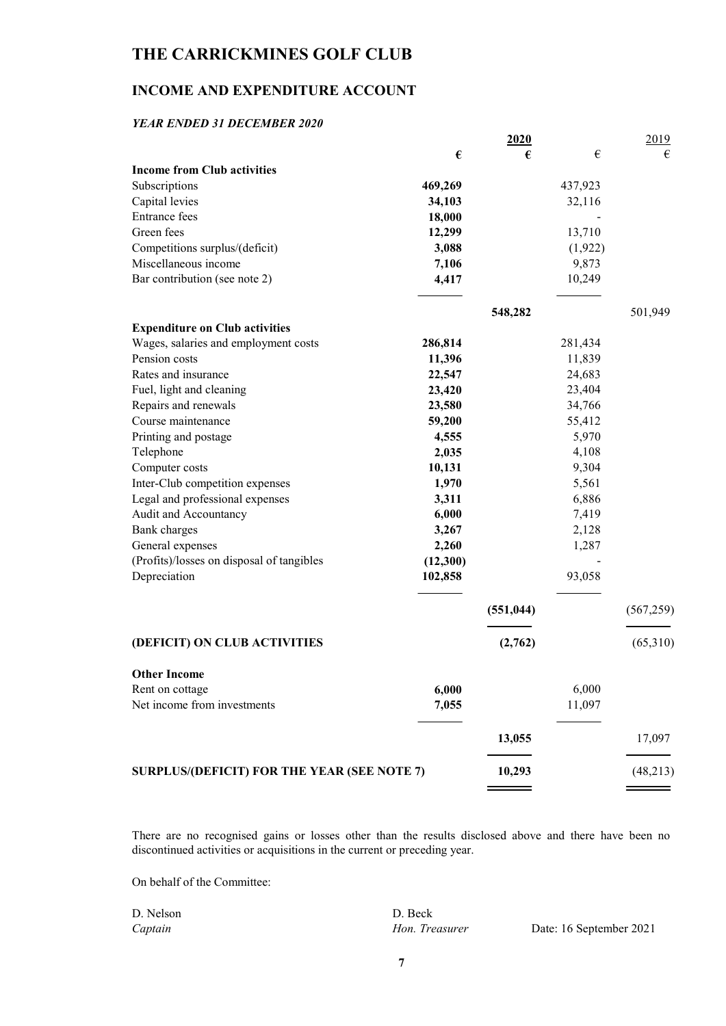## INCOME AND EXPENDITURE ACCOUNT

### YEAR ENDED 31 DECEMBER 2020

|                                             |          | 2020       |         | 2019       |
|---------------------------------------------|----------|------------|---------|------------|
|                                             | €        | €          | €       | €          |
| <b>Income from Club activities</b>          |          |            |         |            |
| Subscriptions                               | 469,269  |            | 437,923 |            |
| Capital levies                              | 34,103   |            | 32,116  |            |
| <b>Entrance</b> fees                        | 18,000   |            |         |            |
| Green fees                                  | 12,299   |            | 13,710  |            |
| Competitions surplus/(deficit)              | 3,088    |            | (1,922) |            |
| Miscellaneous income                        | 7,106    |            | 9,873   |            |
| Bar contribution (see note 2)               | 4,417    |            | 10,249  |            |
|                                             |          | 548,282    |         | 501,949    |
| <b>Expenditure on Club activities</b>       |          |            |         |            |
| Wages, salaries and employment costs        | 286,814  |            | 281,434 |            |
| Pension costs                               | 11,396   |            | 11,839  |            |
| Rates and insurance                         | 22,547   |            | 24,683  |            |
| Fuel, light and cleaning                    | 23,420   |            | 23,404  |            |
| Repairs and renewals                        | 23,580   |            | 34,766  |            |
| Course maintenance                          | 59,200   |            | 55,412  |            |
| Printing and postage                        | 4,555    |            | 5,970   |            |
| Telephone                                   | 2,035    |            | 4,108   |            |
| Computer costs                              | 10,131   |            | 9,304   |            |
| Inter-Club competition expenses             | 1,970    |            | 5,561   |            |
| Legal and professional expenses             | 3,311    |            | 6,886   |            |
| Audit and Accountancy                       | 6,000    |            | 7,419   |            |
| Bank charges                                | 3,267    |            | 2,128   |            |
| General expenses                            | 2,260    |            | 1,287   |            |
| (Profits)/losses on disposal of tangibles   | (12,300) |            |         |            |
| Depreciation                                | 102,858  |            | 93,058  |            |
|                                             |          | (551, 044) |         | (567, 259) |
| (DEFICIT) ON CLUB ACTIVITIES                |          | (2,762)    |         | (65,310)   |
|                                             |          |            |         |            |
| <b>Other Income</b>                         |          |            |         |            |
| Rent on cottage                             | 6,000    |            | 6,000   |            |
| Net income from investments                 | 7,055    |            | 11,097  |            |
|                                             |          | 13,055     |         | 17,097     |
| SURPLUS/(DEFICIT) FOR THE YEAR (SEE NOTE 7) |          | 10,293     |         | (48,213)   |
|                                             |          |            |         |            |

There are no recognised gains or losses other than the results disclosed above and there have been no discontinued activities or acquisitions in the current or preceding year.

On behalf of the Committee:

| D. Nelson | D. Beck        |    |
|-----------|----------------|----|
| Captain   | Hon. Treasurer | Da |

nte: 16 September 2021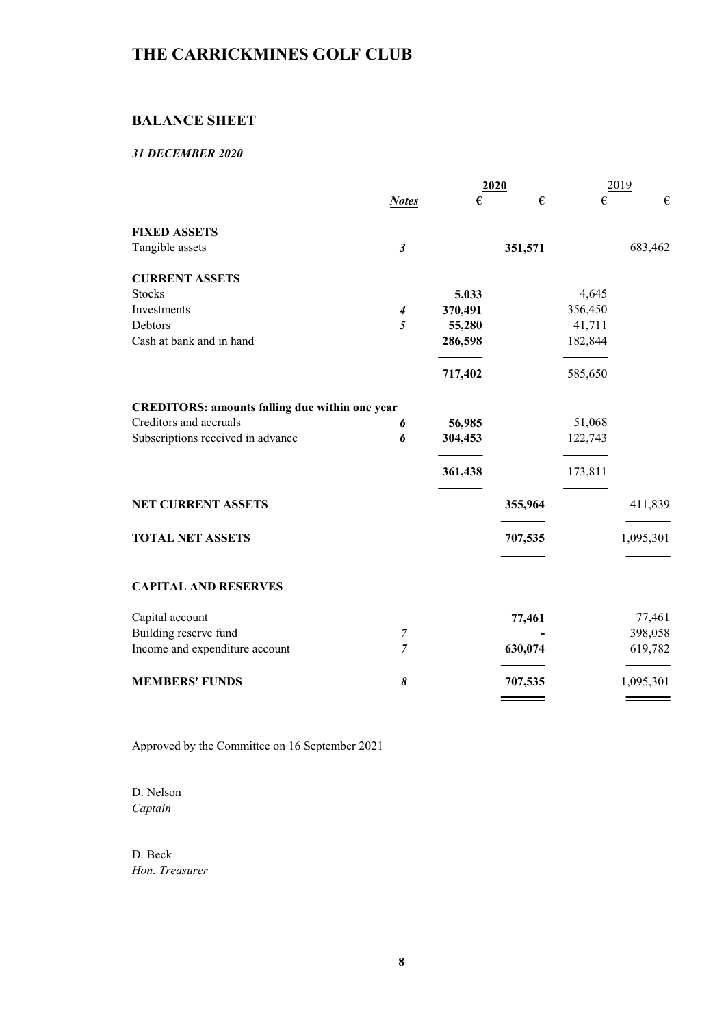## BALANCE SHEET

### 31 DECEMBER 2020

|                                                       |                      |         | 2020    | 2019    |           |
|-------------------------------------------------------|----------------------|---------|---------|---------|-----------|
|                                                       | <b>Notes</b>         | €       | €       | €       | €         |
| <b>FIXED ASSETS</b>                                   |                      |         |         |         |           |
| Tangible assets                                       | $\boldsymbol{\beta}$ |         | 351,571 |         | 683,462   |
| <b>CURRENT ASSETS</b>                                 |                      |         |         |         |           |
| <b>Stocks</b>                                         |                      | 5,033   |         | 4,645   |           |
| Investments                                           | $\boldsymbol{4}$     | 370,491 |         | 356,450 |           |
| Debtors                                               | 5                    | 55,280  |         | 41,711  |           |
| Cash at bank and in hand                              |                      | 286,598 |         | 182,844 |           |
|                                                       |                      | 717,402 |         | 585,650 |           |
| <b>CREDITORS: amounts falling due within one year</b> |                      |         |         |         |           |
| Creditors and accruals                                | 6                    | 56,985  |         | 51,068  |           |
| Subscriptions received in advance                     | 6                    | 304,453 |         | 122,743 |           |
|                                                       |                      | 361,438 |         | 173,811 |           |
| NET CURRENT ASSETS                                    |                      |         | 355,964 |         | 411,839   |
| <b>TOTAL NET ASSETS</b>                               |                      |         | 707,535 |         | 1,095,301 |
|                                                       |                      |         |         |         |           |
| <b>CAPITAL AND RESERVES</b>                           |                      |         |         |         |           |
| Capital account                                       |                      |         | 77,461  |         | 77,461    |
| Building reserve fund                                 | $\overline{7}$       |         |         |         | 398,058   |
| Income and expenditure account                        | 7                    |         | 630,074 |         | 619,782   |
| <b>MEMBERS' FUNDS</b>                                 | 8                    |         | 707,535 |         | 1,095,301 |
|                                                       |                      |         |         |         |           |

Approved by the Committee on 16 September 2021

D. Nelson Captain

D. Beck Hon. Treasurer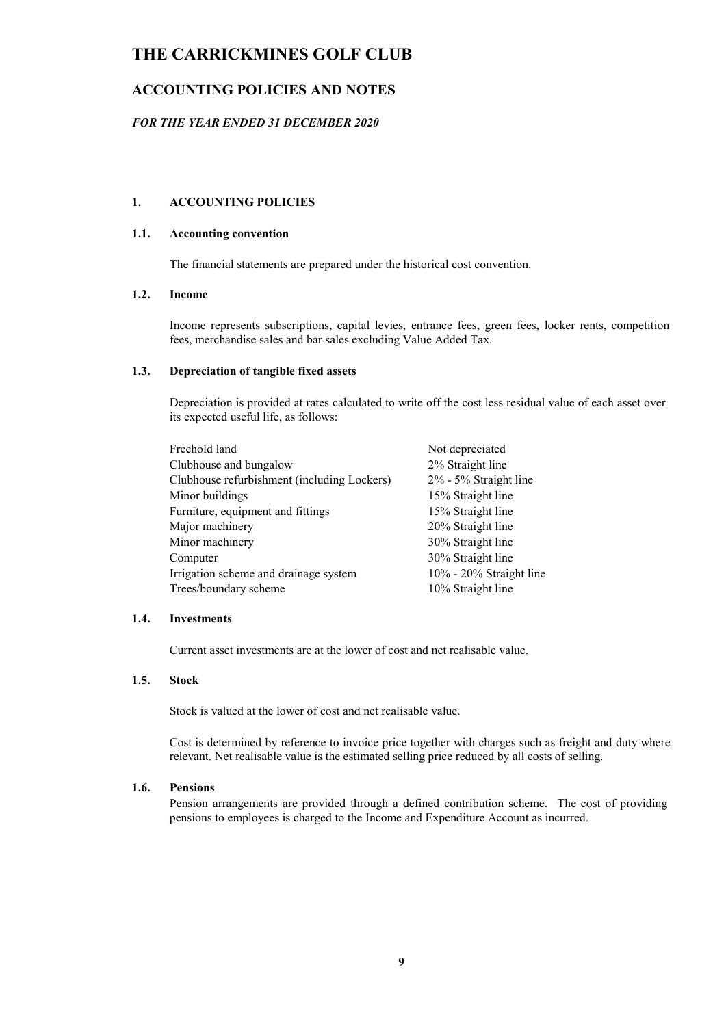## ACCOUNTING POLICIES AND NOTES

### FOR THE YEAR ENDED 31 DECEMBER 2020

#### 1. ACCOUNTING POLICIES

### 1.1. Accounting convention

The financial statements are prepared under the historical cost convention.

#### 1.2. Income

Income represents subscriptions, capital levies, entrance fees, green fees, locker rents, competition fees, merchandise sales and bar sales excluding Value Added Tax.

#### 1.3. Depreciation of tangible fixed assets

Depreciation is provided at rates calculated to write off the cost less residual value of each asset over its expected useful life, as follows:

| Freehold land                               | Not depreciated            |
|---------------------------------------------|----------------------------|
| Clubhouse and bungalow                      | 2% Straight line           |
| Clubhouse refurbishment (including Lockers) | 2% - 5% Straight line      |
| Minor buildings                             | 15% Straight line          |
| Furniture, equipment and fittings           | 15% Straight line          |
| Major machinery                             | 20% Straight line          |
| Minor machinery                             | 30% Straight line          |
| Computer                                    | 30% Straight line          |
| Irrigation scheme and drainage system       | $10\%$ - 20% Straight line |
| Trees/boundary scheme                       | 10% Straight line          |

#### 1.4. Investments

Current asset investments are at the lower of cost and net realisable value.

#### 1.5. Stock

Stock is valued at the lower of cost and net realisable value.

Cost is determined by reference to invoice price together with charges such as freight and duty where relevant. Net realisable value is the estimated selling price reduced by all costs of selling.

#### 1.6. Pensions

Pension arrangements are provided through a defined contribution scheme. The cost of providing pensions to employees is charged to the Income and Expenditure Account as incurred.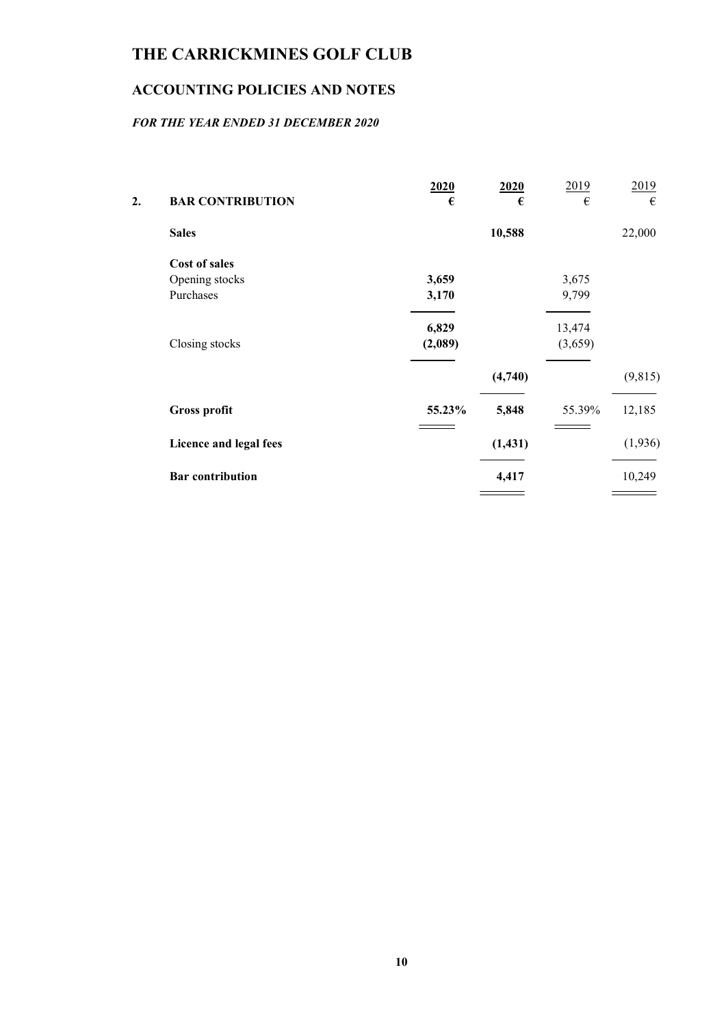# ACCOUNTING POLICIES AND NOTES

## FOR THE YEAR ENDED 31 DECEMBER 2020

| 2. | <b>BAR CONTRIBUTION</b> | 2020<br>€ | 2020<br>€ | 2019<br>€ | 2019<br>€ |
|----|-------------------------|-----------|-----------|-----------|-----------|
|    | <b>Sales</b>            |           | 10,588    |           | 22,000    |
|    | <b>Cost of sales</b>    |           |           |           |           |
|    | Opening stocks          | 3,659     |           | 3,675     |           |
|    | Purchases               | 3,170     |           | 9,799     |           |
|    |                         | 6,829     |           | 13,474    |           |
|    | Closing stocks          | (2,089)   |           | (3,659)   |           |
|    |                         |           | (4,740)   |           | (9,815)   |
|    | <b>Gross profit</b>     | 55.23%    | 5,848     | 55.39%    | 12,185    |
|    | Licence and legal fees  |           | (1, 431)  |           | (1,936)   |
|    | <b>Bar</b> contribution |           | 4,417     |           | 10,249    |
|    |                         |           |           |           |           |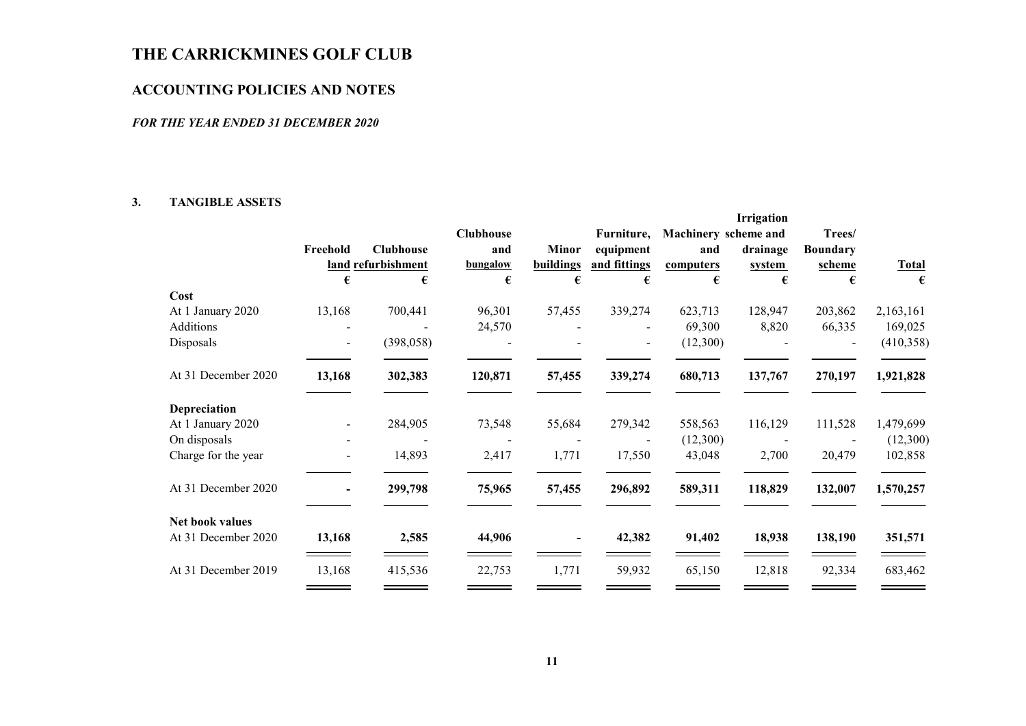## ACCOUNTING POLICIES AND NOTES

#### FOR THE YEAR ENDED 31 DECEMBER 2020

#### 3. TANGIBLE ASSETS

|                     |                          |                    |                  |                |                   |                      | Irrigation  |                 |                   |
|---------------------|--------------------------|--------------------|------------------|----------------|-------------------|----------------------|-------------|-----------------|-------------------|
|                     |                          |                    | <b>Clubhouse</b> |                | Furniture,        | Machinery scheme and |             | Trees/          |                   |
|                     | Freehold                 | <b>Clubhouse</b>   | and              | <b>Minor</b>   | equipment         | and                  | drainage    | <b>Boundary</b> |                   |
|                     | €                        | land refurbishment | bungalow<br>€    | buildings<br>€ | and fittings<br>€ | computers<br>€       | system<br>€ | scheme<br>€     | <b>Total</b><br>€ |
| Cost                |                          |                    |                  |                |                   |                      |             |                 |                   |
| At 1 January 2020   | 13,168                   | 700,441            | 96,301           | 57,455         | 339,274           | 623,713              | 128,947     | 203,862         | 2,163,161         |
| Additions           |                          |                    | 24,570           |                |                   | 69,300               | 8,820       | 66,335          | 169,025           |
| Disposals           |                          | (398, 058)         |                  |                |                   | (12,300)             |             |                 | (410,358)         |
| At 31 December 2020 | 13,168                   | 302,383            | 120,871          | 57,455         | 339,274           | 680,713              | 137,767     | 270,197         | 1,921,828         |
| Depreciation        |                          |                    |                  |                |                   |                      |             |                 |                   |
| At 1 January 2020   | $\blacksquare$           | 284,905            | 73,548           | 55,684         | 279,342           | 558,563              | 116,129     | 111,528         | 1,479,699         |
| On disposals        |                          |                    |                  |                |                   | (12,300)             |             |                 | (12,300)          |
| Charge for the year | $\overline{\phantom{a}}$ | 14,893             | 2,417            | 1,771          | 17,550            | 43,048               | 2,700       | 20,479          | 102,858           |
| At 31 December 2020 |                          | 299,798            | 75,965           | 57,455         | 296,892           | 589,311              | 118,829     | 132,007         | 1,570,257         |
| Net book values     |                          |                    |                  |                |                   |                      |             |                 |                   |
| At 31 December 2020 | 13,168                   | 2,585              | 44,906           |                | 42,382            | 91,402               | 18,938      | 138,190         | 351,571           |
| At 31 December 2019 | 13,168                   | 415,536            | 22,753           | 1,771          | 59,932            | 65,150               | 12,818      | 92,334          | 683,462           |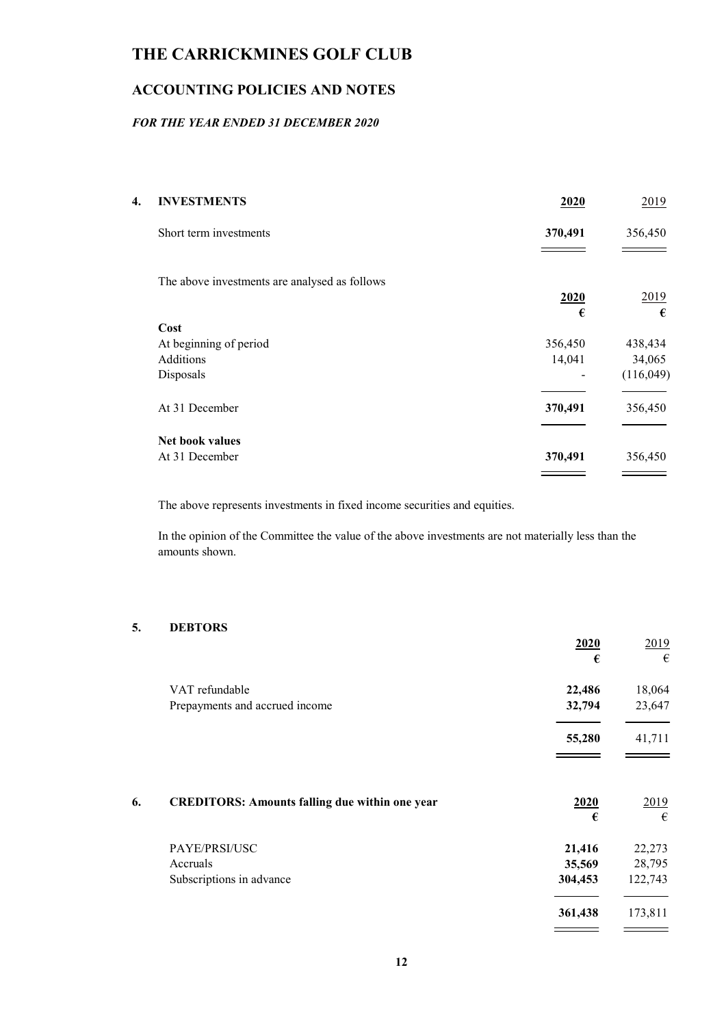# ACCOUNTING POLICIES AND NOTES

## FOR THE YEAR ENDED 31 DECEMBER 2020

| 4. | <b>INVESTMENTS</b>                            | 2020    | 2019      |
|----|-----------------------------------------------|---------|-----------|
|    | Short term investments                        | 370,491 | 356,450   |
|    |                                               |         |           |
|    | The above investments are analysed as follows |         |           |
|    |                                               | 2020    | 2019      |
|    |                                               | €       | €         |
|    | Cost                                          |         |           |
|    | At beginning of period                        | 356,450 | 438,434   |
|    | <b>Additions</b>                              | 14,041  | 34,065    |
|    | Disposals                                     |         | (116,049) |
|    | At 31 December                                | 370,491 | 356,450   |
|    | Net book values                               |         |           |
|    | At 31 December                                | 370,491 | 356,450   |
|    |                                               |         |           |

The above represents investments in fixed income securities and equities.

In the opinion of the Committee the value of the above investments are not materially less than the amounts shown.

### 5. DEBTORS

|    |                                                       | 2020<br>€                   | 2019<br>€                   |
|----|-------------------------------------------------------|-----------------------------|-----------------------------|
|    | VAT refundable                                        | 22,486                      | 18,064                      |
|    | Prepayments and accrued income                        | 32,794                      | 23,647                      |
|    |                                                       | 55,280                      | 41,711                      |
| 6. | <b>CREDITORS: Amounts falling due within one year</b> | 2020<br>€                   | <u>2019</u><br>€            |
|    | PAYE/PRSI/USC<br>Accruals<br>Subscriptions in advance | 21,416<br>35,569<br>304,453 | 22,273<br>28,795<br>122,743 |
|    |                                                       | 361,438                     | 173,811                     |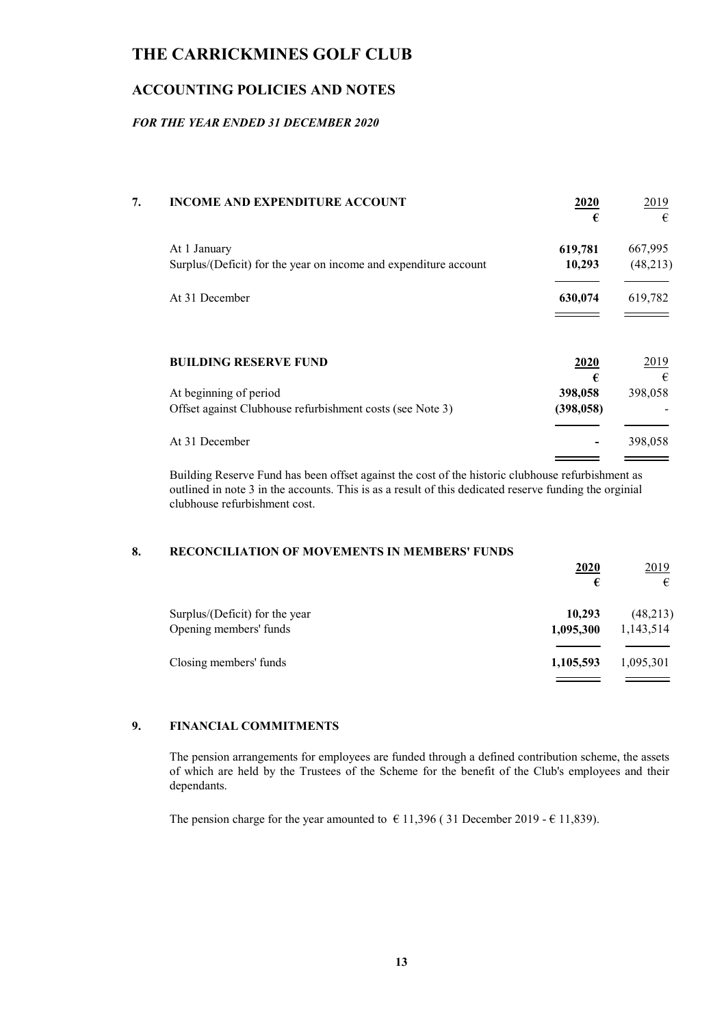## ACCOUNTING POLICIES AND NOTES

### FOR THE YEAR ENDED 31 DECEMBER 2020

| 7. | <b>INCOME AND EXPENDITURE ACCOUNT</b>                            | 2020<br>€    | 2019<br>€    |
|----|------------------------------------------------------------------|--------------|--------------|
|    | At 1 January                                                     | 619,781      | 667,995      |
|    | Surplus/(Deficit) for the year on income and expenditure account | 10,293       | (48, 213)    |
|    | At 31 December                                                   | 630,074      | 619,782      |
|    | <b>BUILDING RESERVE FUND</b>                                     | 2020         | 2019         |
|    | At beginning of period                                           | €<br>398,058 | €<br>398,058 |
|    | Offset against Clubhouse refurbishment costs (see Note 3)        | (398, 058)   |              |
|    | At 31 December                                                   |              | 398,058      |
|    |                                                                  |              |              |

Building Reserve Fund has been offset against the cost of the historic clubhouse refurbishment as outlined in note 3 in the accounts. This is as a result of this dedicated reserve funding the orginial clubhouse refurbishment cost.

### 8. RECONCILIATION OF MOVEMENTS IN MEMBERS' FUNDS

|                                | <u>2020</u> | 2019      |
|--------------------------------|-------------|-----------|
|                                | €           | €         |
| Surplus/(Deficit) for the year | 10,293      | (48,213)  |
| Opening members' funds         | 1,095,300   | 1,143,514 |
| Closing members' funds         | 1,105,593   | 1,095,301 |
|                                |             |           |

### 9. FINANCIAL COMMITMENTS

The pension arrangements for employees are funded through a defined contribution scheme, the assets of which are held by the Trustees of the Scheme for the benefit of the Club's employees and their dependants.

The pension charge for the year amounted to  $\epsilon$  11,396 (31 December 2019 -  $\epsilon$  11,839).